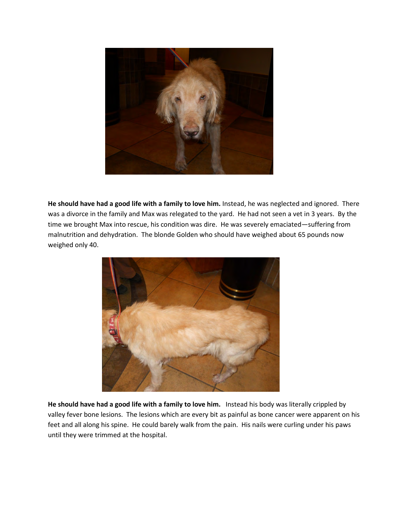

He should have had a good life with a family to love him. Instead, he was neglected and ignored. There was a divorce in the family and Max was relegated to the yard. He had not seen a vet in 3 years. By the time we brought Max into rescue, his condition was dire. He was severely emaciated—suffering from malnutrition and dehydration. The blonde Golden who should have weighed about 65 pounds now weighed only 40.



He should have had a good life with a family to love him. Instead his body was literally crippled by valley fever bone lesions. The lesions which are every bit as painful as bone cancer were apparent on his feet and all along his spine. He could barely walk from the pain. His nails were curling under his paws until they were trimmed at the hospital.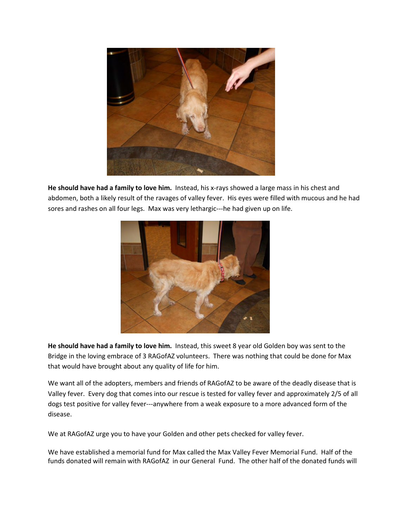

He should have had a family to love him. Instead, his x-rays showed a large mass in his chest and abdomen, both a likely result of the ravages of valley fever. His eyes were filled with mucous and he had sores and rashes on all four legs. Max was very lethargic---he had given up on life.



He should have had a family to love him. Instead, this sweet 8 year old Golden boy was sent to the Bridge in the loving embrace of 3 RAGofAZ volunteers. There was nothing that could be done for Max that would have brought about any quality of life for him.

We want all of the adopters, members and friends of RAGofAZ to be aware of the deadly disease that is Valley fever. Every dog that comes into our rescue is tested for valley fever and approximately 2/5 of all dogs test positive for valley fever---anywhere from a weak exposure to a more advanced form of the disease.

We at RAGofAZ urge you to have your Golden and other pets checked for valley fever.

We have established a memorial fund for Max called the Max Valley Fever Memorial Fund. Half of the funds donated will remain with RAGofAZ in our General Fund. The other half of the donated funds will